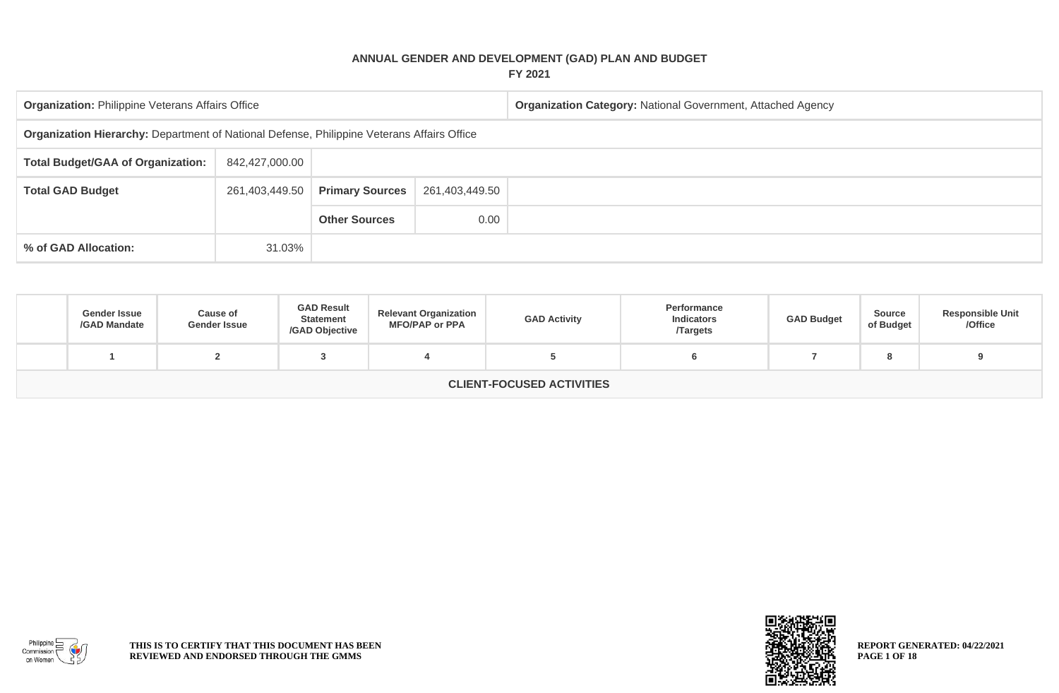## **ANNUAL GENDER AND DEVELOPMENT (GAD) PLAN AND BUDGET FY 2021**

| <b>Organization: Philippine Veterans Affairs Office</b>                                    |                |                        |                | <b>Organization Category: National Government, Attached Agency</b> |  |  |  |  |  |
|--------------------------------------------------------------------------------------------|----------------|------------------------|----------------|--------------------------------------------------------------------|--|--|--|--|--|
| Organization Hierarchy: Department of National Defense, Philippine Veterans Affairs Office |                |                        |                |                                                                    |  |  |  |  |  |
| <b>Total Budget/GAA of Organization:</b>                                                   | 842,427,000.00 |                        |                |                                                                    |  |  |  |  |  |
| <b>Total GAD Budget</b>                                                                    | 261,403,449.50 | <b>Primary Sources</b> | 261,403,449.50 |                                                                    |  |  |  |  |  |
|                                                                                            |                | <b>Other Sources</b>   | 0.00           |                                                                    |  |  |  |  |  |
| % of GAD Allocation:                                                                       | 31.03%         |                        |                |                                                                    |  |  |  |  |  |

| <b>Gender Issue</b><br>/GAD Mandate | Cause of<br><b>Gender Issue</b> | <b>GAD Result</b><br><b>Statement</b><br>/GAD Objective | <b>Relevant Organization</b><br><b>MFO/PAP or PPA</b> | <b>GAD Activity</b> | Performance<br><b>Indicators</b><br><b>Targets</b> | <b>GAD Budget</b> | <b>Source</b><br>of Budget | <b>Responsible Unit</b><br>/Office |  |
|-------------------------------------|---------------------------------|---------------------------------------------------------|-------------------------------------------------------|---------------------|----------------------------------------------------|-------------------|----------------------------|------------------------------------|--|
|                                     |                                 |                                                         |                                                       |                     |                                                    |                   | о                          |                                    |  |
| <b>CLIENT-FOCUSED ACTIVITIES</b>    |                                 |                                                         |                                                       |                     |                                                    |                   |                            |                                    |  |



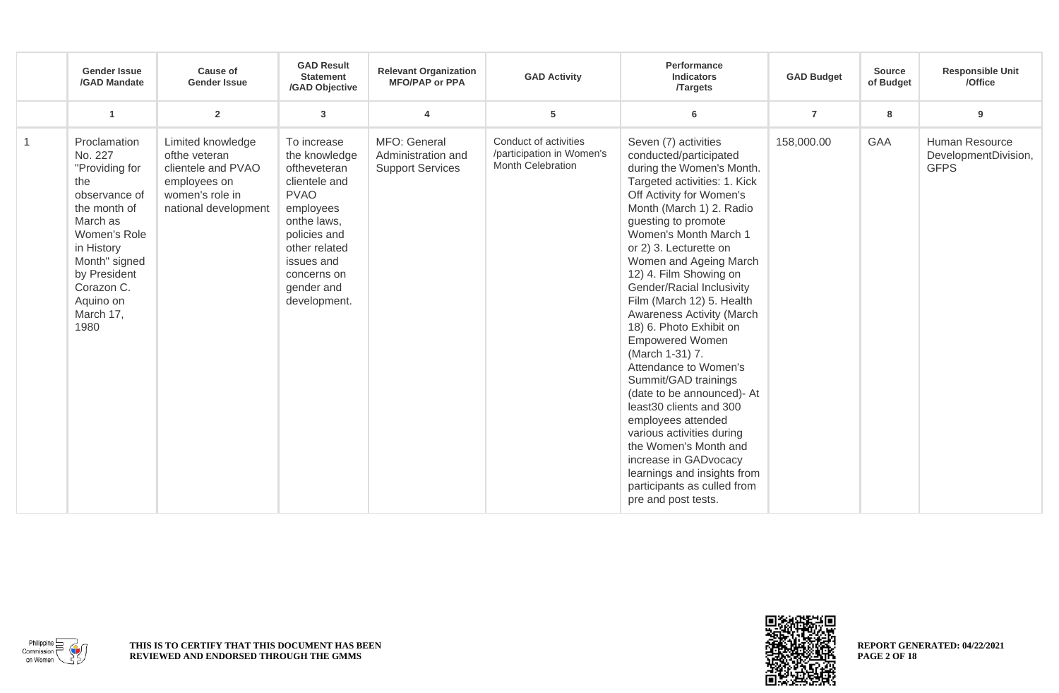|   | <b>Gender Issue</b><br>/GAD Mandate                                                                                                                                                                          | <b>Cause of</b><br><b>Gender Issue</b>                                                                              | <b>GAD Result</b><br><b>Statement</b><br>/GAD Objective                                                                                                                                              | <b>Relevant Organization</b><br><b>MFO/PAP or PPA</b>         | <b>GAD Activity</b>                                                     | Performance<br><b>Indicators</b><br>/Targets                                                                                                                                                                                                                                                                                                                                                                                                                                                                                                                                                                                                                                                                                                                         | <b>GAD Budget</b> | <b>Source</b><br>of Budget | <b>Responsible Unit</b><br>/Office                    |
|---|--------------------------------------------------------------------------------------------------------------------------------------------------------------------------------------------------------------|---------------------------------------------------------------------------------------------------------------------|------------------------------------------------------------------------------------------------------------------------------------------------------------------------------------------------------|---------------------------------------------------------------|-------------------------------------------------------------------------|----------------------------------------------------------------------------------------------------------------------------------------------------------------------------------------------------------------------------------------------------------------------------------------------------------------------------------------------------------------------------------------------------------------------------------------------------------------------------------------------------------------------------------------------------------------------------------------------------------------------------------------------------------------------------------------------------------------------------------------------------------------------|-------------------|----------------------------|-------------------------------------------------------|
|   | $\overline{1}$                                                                                                                                                                                               | $\overline{2}$                                                                                                      | 3                                                                                                                                                                                                    | $\overline{\mathbf{4}}$                                       | 5                                                                       | 6                                                                                                                                                                                                                                                                                                                                                                                                                                                                                                                                                                                                                                                                                                                                                                    | $\overline{7}$    | 8                          | 9                                                     |
| 1 | Proclamation<br>No. 227<br>"Providing for<br>the<br>observance of<br>the month of<br>March as<br>Women's Role<br>in History<br>Month" signed<br>by President<br>Corazon C.<br>Aquino on<br>March 17,<br>1980 | Limited knowledge<br>ofthe veteran<br>clientele and PVAO<br>employees on<br>women's role in<br>national development | To increase<br>the knowledge<br>oftheveteran<br>clientele and<br><b>PVAO</b><br>employees<br>onthe laws,<br>policies and<br>other related<br>issues and<br>concerns on<br>gender and<br>development. | MFO: General<br>Administration and<br><b>Support Services</b> | Conduct of activities<br>/participation in Women's<br>Month Celebration | Seven (7) activities<br>conducted/participated<br>during the Women's Month.<br>Targeted activities: 1. Kick<br>Off Activity for Women's<br>Month (March 1) 2. Radio<br>guesting to promote<br>Women's Month March 1<br>or 2) 3. Lecturette on<br>Women and Ageing March<br>12) 4. Film Showing on<br>Gender/Racial Inclusivity<br>Film (March 12) 5. Health<br>Awareness Activity (March<br>18) 6. Photo Exhibit on<br><b>Empowered Women</b><br>(March 1-31) 7.<br>Attendance to Women's<br>Summit/GAD trainings<br>(date to be announced)- At<br>least30 clients and 300<br>employees attended<br>various activities during<br>the Women's Month and<br>increase in GADvocacy<br>learnings and insights from<br>participants as culled from<br>pre and post tests. | 158,000.00        | <b>GAA</b>                 | Human Resource<br>DevelopmentDivision,<br><b>GFPS</b> |



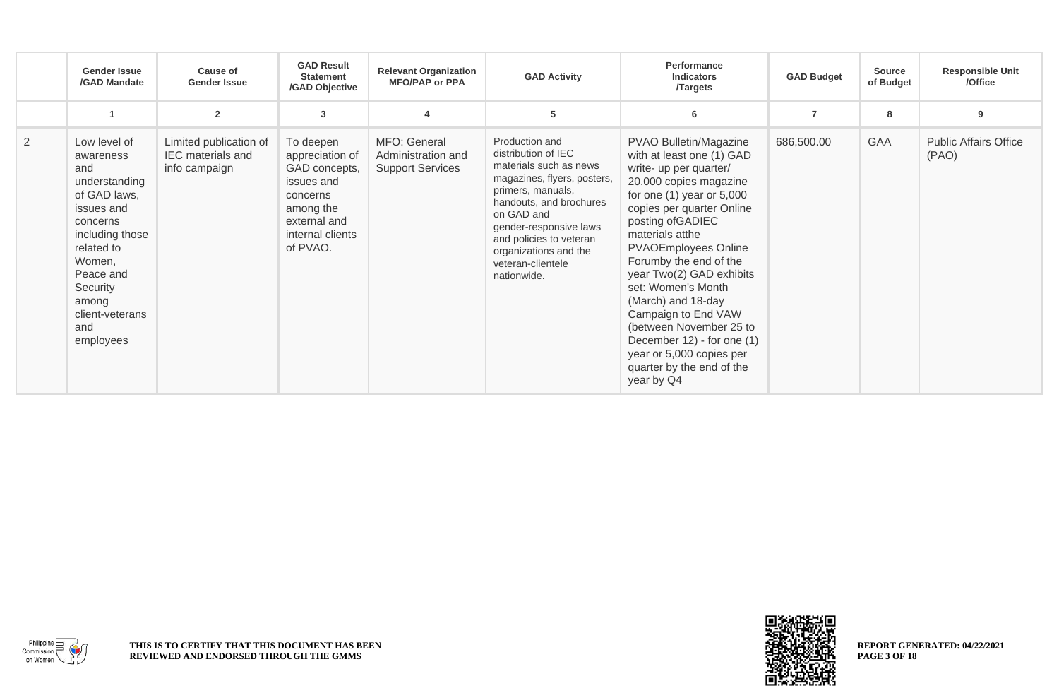|                | <b>Gender Issue</b><br>/GAD Mandate                                                                                                                                                                             | <b>Cause of</b><br><b>Gender Issue</b>                              | <b>GAD Result</b><br><b>Statement</b><br>/GAD Objective                                                                              | <b>Relevant Organization</b><br><b>MFO/PAP or PPA</b>         | <b>GAD Activity</b>                                                                                                                                                                                                                                                            | Performance<br><b>Indicators</b><br><b>Targets</b>                                                                                                                                                                                                                                                                                                                                                                                                                                                    | <b>GAD Budget</b> | <b>Source</b><br>of Budget | <b>Responsible Unit</b><br>/Office    |
|----------------|-----------------------------------------------------------------------------------------------------------------------------------------------------------------------------------------------------------------|---------------------------------------------------------------------|--------------------------------------------------------------------------------------------------------------------------------------|---------------------------------------------------------------|--------------------------------------------------------------------------------------------------------------------------------------------------------------------------------------------------------------------------------------------------------------------------------|-------------------------------------------------------------------------------------------------------------------------------------------------------------------------------------------------------------------------------------------------------------------------------------------------------------------------------------------------------------------------------------------------------------------------------------------------------------------------------------------------------|-------------------|----------------------------|---------------------------------------|
|                | $\blacktriangleleft$                                                                                                                                                                                            | $\overline{2}$                                                      | 3                                                                                                                                    | $\overline{4}$                                                | 5                                                                                                                                                                                                                                                                              | 6                                                                                                                                                                                                                                                                                                                                                                                                                                                                                                     | $\overline{7}$    | 8                          | 9                                     |
| $\overline{2}$ | Low level of<br>awareness<br>and<br>understanding<br>of GAD laws,<br>issues and<br>concerns<br>including those<br>related to<br>Women,<br>Peace and<br>Security<br>among<br>client-veterans<br>and<br>employees | Limited publication of<br><b>IEC</b> materials and<br>info campaign | To deepen<br>appreciation of<br>GAD concepts,<br>issues and<br>concerns<br>among the<br>external and<br>internal clients<br>of PVAO. | MFO: General<br>Administration and<br><b>Support Services</b> | Production and<br>distribution of IEC<br>materials such as news<br>magazines, flyers, posters,<br>primers, manuals,<br>handouts, and brochures<br>on GAD and<br>gender-responsive laws<br>and policies to veteran<br>organizations and the<br>veteran-clientele<br>nationwide. | PVAO Bulletin/Magazine<br>with at least one (1) GAD<br>write- up per quarter/<br>20,000 copies magazine<br>for one $(1)$ year or $5,000$<br>copies per quarter Online<br>posting of GADIEC<br>materials atthe<br><b>PVAOEmployees Online</b><br>Forumby the end of the<br>year Two(2) GAD exhibits<br>set: Women's Month<br>(March) and 18-day<br>Campaign to End VAW<br>(between November 25 to<br>December 12) - for one (1)<br>year or 5,000 copies per<br>quarter by the end of the<br>year by Q4 | 686,500.00        | <b>GAA</b>                 | <b>Public Affairs Office</b><br>(PAO) |



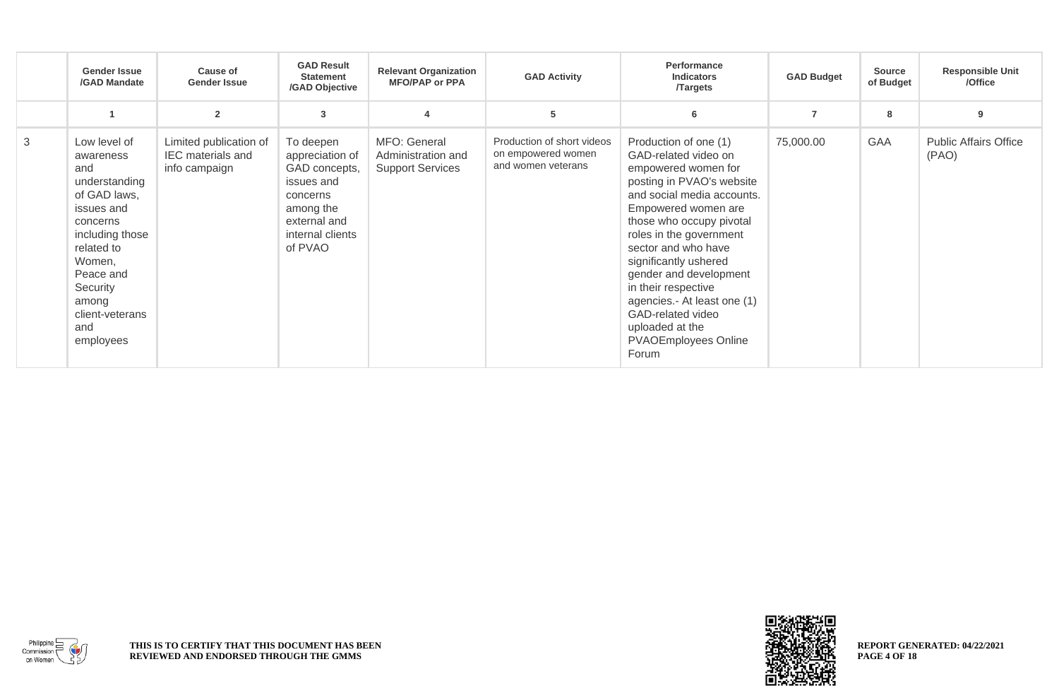|   | <b>Gender Issue</b><br><b>/GAD Mandate</b>                                                                                                                                                                      | Cause of<br><b>Gender Issue</b>                                     | <b>GAD Result</b><br><b>Statement</b><br>/GAD Objective                                                                             | <b>Relevant Organization</b><br><b>MFO/PAP or PPA</b>         | <b>GAD Activity</b>                                                    | Performance<br><b>Indicators</b><br><b>Targets</b>                                                                                                                                                                                                                                                                                                                                                                            | <b>GAD Budget</b> | <b>Source</b><br>of Budget | <b>Responsible Unit</b><br>/Office    |
|---|-----------------------------------------------------------------------------------------------------------------------------------------------------------------------------------------------------------------|---------------------------------------------------------------------|-------------------------------------------------------------------------------------------------------------------------------------|---------------------------------------------------------------|------------------------------------------------------------------------|-------------------------------------------------------------------------------------------------------------------------------------------------------------------------------------------------------------------------------------------------------------------------------------------------------------------------------------------------------------------------------------------------------------------------------|-------------------|----------------------------|---------------------------------------|
|   | $\overline{1}$                                                                                                                                                                                                  | $\overline{2}$                                                      | 3                                                                                                                                   | $\overline{4}$                                                | 5                                                                      | 6                                                                                                                                                                                                                                                                                                                                                                                                                             | $\overline{7}$    | 8                          | 9                                     |
| 3 | Low level of<br>awareness<br>and<br>understanding<br>of GAD laws,<br>issues and<br>concerns<br>including those<br>related to<br>Women,<br>Peace and<br>Security<br>among<br>client-veterans<br>and<br>employees | Limited publication of<br><b>IEC</b> materials and<br>info campaign | To deepen<br>appreciation of<br>GAD concepts,<br>issues and<br>concerns<br>among the<br>external and<br>internal clients<br>of PVAO | MFO: General<br>Administration and<br><b>Support Services</b> | Production of short videos<br>on empowered women<br>and women veterans | Production of one (1)<br>GAD-related video on<br>empowered women for<br>posting in PVAO's website<br>and social media accounts.<br>Empowered women are<br>those who occupy pivotal<br>roles in the government<br>sector and who have<br>significantly ushered<br>gender and development<br>in their respective<br>agencies.- At least one (1)<br>GAD-related video<br>uploaded at the<br><b>PVAOEmployees Online</b><br>Forum | 75,000.00         | <b>GAA</b>                 | <b>Public Affairs Office</b><br>(PAO) |

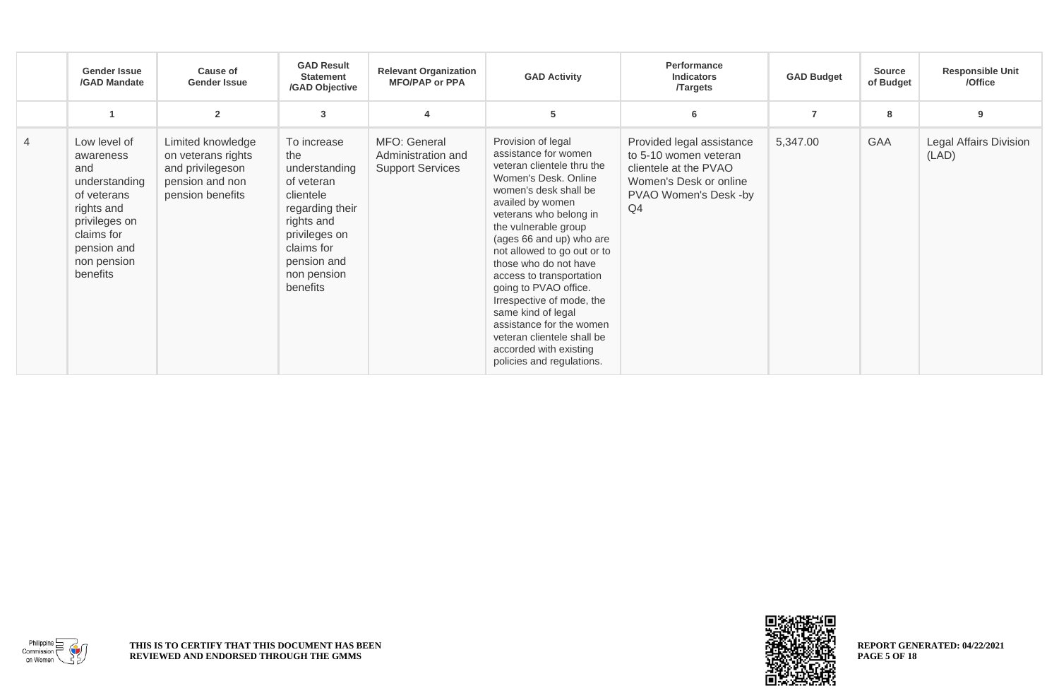|                | <b>Gender Issue</b><br>/GAD Mandate                                                                                                                     | Cause of<br><b>Gender Issue</b>                                                                    | <b>GAD Result</b><br><b>Statement</b><br>/GAD Objective                                                                                                                  | <b>Relevant Organization</b><br><b>MFO/PAP or PPA</b>         | <b>GAD Activity</b>                                                                                                                                                                                                                                                                                                                                                                                                                                                                                          | Performance<br><b>Indicators</b><br><b>Targets</b>                                                                                   | <b>GAD Budget</b> | <b>Source</b><br>of Budget | <b>Responsible Unit</b><br>/Office     |
|----------------|---------------------------------------------------------------------------------------------------------------------------------------------------------|----------------------------------------------------------------------------------------------------|--------------------------------------------------------------------------------------------------------------------------------------------------------------------------|---------------------------------------------------------------|--------------------------------------------------------------------------------------------------------------------------------------------------------------------------------------------------------------------------------------------------------------------------------------------------------------------------------------------------------------------------------------------------------------------------------------------------------------------------------------------------------------|--------------------------------------------------------------------------------------------------------------------------------------|-------------------|----------------------------|----------------------------------------|
|                | $\overline{1}$                                                                                                                                          | $\overline{2}$                                                                                     | 3                                                                                                                                                                        | $\boldsymbol{\Delta}$                                         | 5                                                                                                                                                                                                                                                                                                                                                                                                                                                                                                            | 6                                                                                                                                    | $\overline{7}$    | 8                          | 9                                      |
| $\overline{4}$ | Low level of<br>awareness<br>and<br>understanding<br>of veterans<br>rights and<br>privileges on<br>claims for<br>pension and<br>non pension<br>benefits | Limited knowledge<br>on veterans rights<br>and privilegeson<br>pension and non<br>pension benefits | To increase<br>the<br>understanding<br>of veteran<br>clientele<br>regarding their<br>rights and<br>privileges on<br>claims for<br>pension and<br>non pension<br>benefits | MFO: General<br>Administration and<br><b>Support Services</b> | Provision of legal<br>assistance for women<br>veteran clientele thru the<br>Women's Desk, Online<br>women's desk shall be<br>availed by women<br>veterans who belong in<br>the vulnerable group<br>(ages 66 and up) who are<br>not allowed to go out or to<br>those who do not have<br>access to transportation<br>going to PVAO office.<br>Irrespective of mode, the<br>same kind of legal<br>assistance for the women<br>veteran clientele shall be<br>accorded with existing<br>policies and regulations. | Provided legal assistance<br>to 5-10 women veteran<br>clientele at the PVAO<br>Women's Desk or online<br>PVAO Women's Desk -by<br>Q4 | 5,347.00          | GAA                        | <b>Legal Affairs Division</b><br>(LAD) |

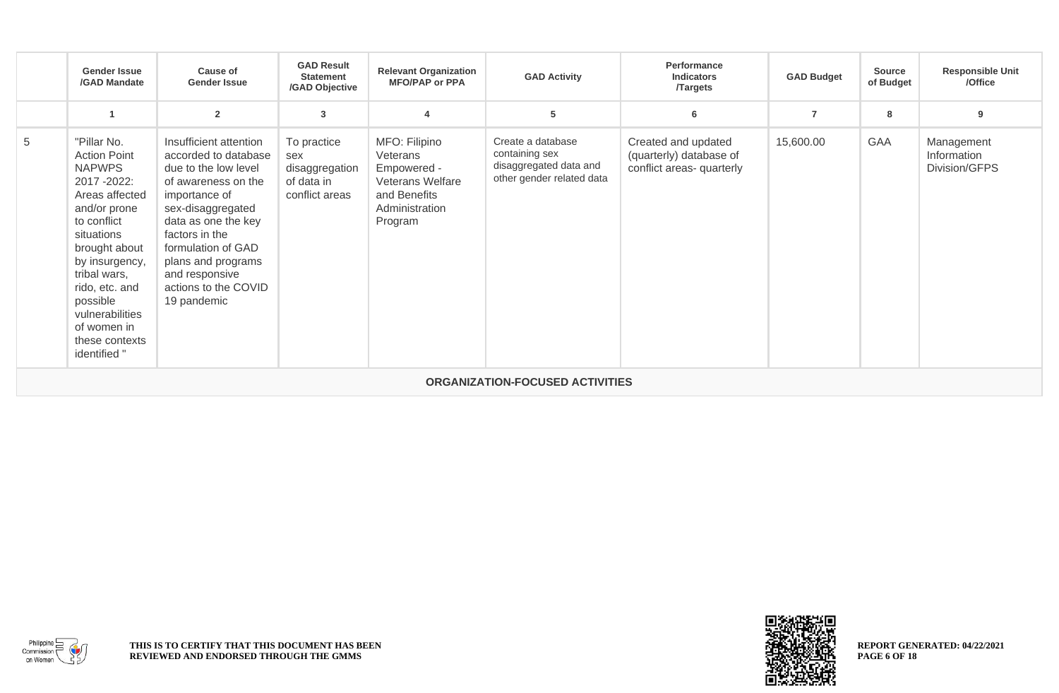|   | <b>Gender Issue</b><br>/GAD Mandate                                                                                                                                                                                                                                                     | <b>Cause of</b><br><b>Gender Issue</b>                                                                                                                                                                                                                                            | <b>GAD Result</b><br><b>Statement</b><br>/GAD Objective              | <b>Relevant Organization</b><br><b>MFO/PAP or PPA</b>                                                            | <b>GAD Activity</b>                                                                        | <b>Performance</b><br><b>Indicators</b><br><b>Targets</b>                   | <b>GAD Budget</b> | <b>Source</b><br>of Budget | <b>Responsible Unit</b><br>/Office         |  |  |  |
|---|-----------------------------------------------------------------------------------------------------------------------------------------------------------------------------------------------------------------------------------------------------------------------------------------|-----------------------------------------------------------------------------------------------------------------------------------------------------------------------------------------------------------------------------------------------------------------------------------|----------------------------------------------------------------------|------------------------------------------------------------------------------------------------------------------|--------------------------------------------------------------------------------------------|-----------------------------------------------------------------------------|-------------------|----------------------------|--------------------------------------------|--|--|--|
|   | -4                                                                                                                                                                                                                                                                                      | $\overline{\mathbf{2}}$                                                                                                                                                                                                                                                           | 3                                                                    |                                                                                                                  | 5                                                                                          | 6                                                                           | $\overline{7}$    | 8                          | 9                                          |  |  |  |
| 5 | "Pillar No.<br><b>Action Point</b><br><b>NAPWPS</b><br>2017 - 2022:<br>Areas affected<br>and/or prone<br>to conflict<br>situations<br>brought about<br>by insurgency,<br>tribal wars,<br>rido, etc. and<br>possible<br>vulnerabilities<br>of women in<br>these contexts<br>identified " | Insufficient attention<br>accorded to database<br>due to the low level<br>of awareness on the<br>importance of<br>sex-disaggregated<br>data as one the key<br>factors in the<br>formulation of GAD<br>plans and programs<br>and responsive<br>actions to the COVID<br>19 pandemic | To practice<br>sex<br>disaggregation<br>of data in<br>conflict areas | MFO: Filipino<br>Veterans<br>Empowered -<br><b>Veterans Welfare</b><br>and Benefits<br>Administration<br>Program | Create a database<br>containing sex<br>disaggregated data and<br>other gender related data | Created and updated<br>(quarterly) database of<br>conflict areas- quarterly | 15,600.00         | GAA                        | Management<br>Information<br>Division/GFPS |  |  |  |
|   | <b>ORGANIZATION-FOCUSED ACTIVITIES</b>                                                                                                                                                                                                                                                  |                                                                                                                                                                                                                                                                                   |                                                                      |                                                                                                                  |                                                                                            |                                                                             |                   |                            |                                            |  |  |  |



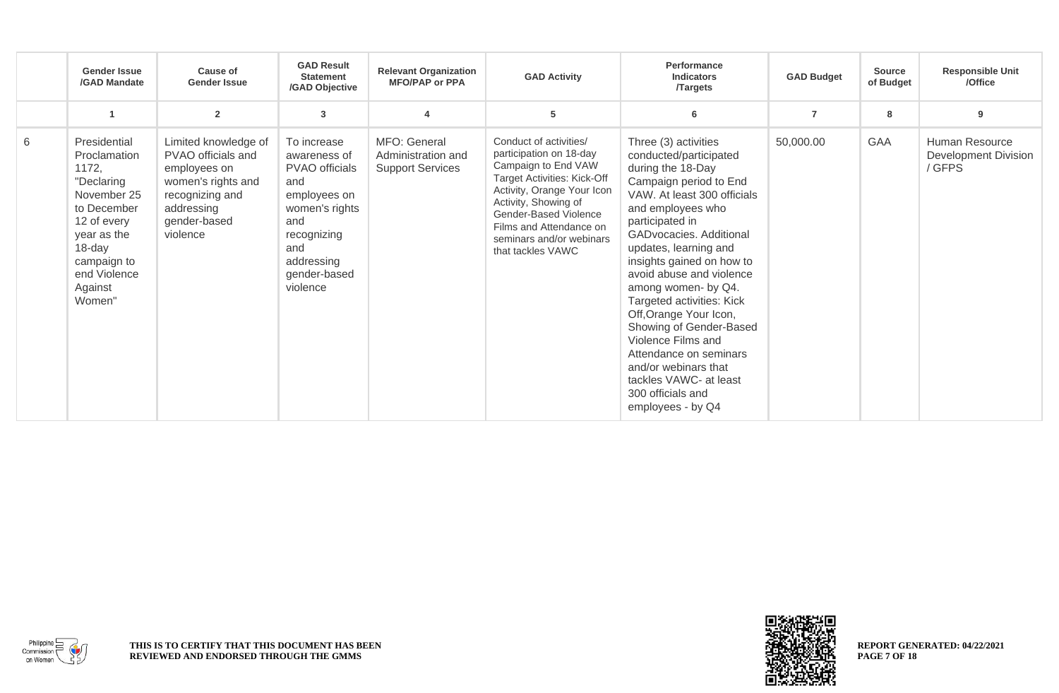|   | <b>Gender Issue</b><br>/GAD Mandate                                                                                                                                           | <b>Cause of</b><br><b>Gender Issue</b>                                                                                                        | <b>GAD Result</b><br><b>Statement</b><br>/GAD Objective                                                                                                       | <b>Relevant Organization</b><br><b>MFO/PAP or PPA</b>         | <b>GAD Activity</b>                                                                                                                                                                                                                                                | Performance<br><b>Indicators</b><br><b>Targets</b>                                                                                                                                                                                                                                                                                                                                                                                                                                                                                     | <b>GAD Budget</b> | <b>Source</b><br>of Budget | <b>Responsible Unit</b><br>/Office                      |
|---|-------------------------------------------------------------------------------------------------------------------------------------------------------------------------------|-----------------------------------------------------------------------------------------------------------------------------------------------|---------------------------------------------------------------------------------------------------------------------------------------------------------------|---------------------------------------------------------------|--------------------------------------------------------------------------------------------------------------------------------------------------------------------------------------------------------------------------------------------------------------------|----------------------------------------------------------------------------------------------------------------------------------------------------------------------------------------------------------------------------------------------------------------------------------------------------------------------------------------------------------------------------------------------------------------------------------------------------------------------------------------------------------------------------------------|-------------------|----------------------------|---------------------------------------------------------|
|   |                                                                                                                                                                               | $\overline{2}$                                                                                                                                | 3                                                                                                                                                             | $\boldsymbol{\Lambda}$                                        | 5                                                                                                                                                                                                                                                                  | 6                                                                                                                                                                                                                                                                                                                                                                                                                                                                                                                                      | $\overline{7}$    | 8                          | 9                                                       |
| 6 | Presidential<br>Proclamation<br>1172,<br>"Declaring<br>November 25<br>to December<br>12 of every<br>year as the<br>18-day<br>campaign to<br>end Violence<br>Against<br>Women" | Limited knowledge of<br>PVAO officials and<br>employees on<br>women's rights and<br>recognizing and<br>addressing<br>gender-based<br>violence | To increase<br>awareness of<br>PVAO officials<br>and<br>employees on<br>women's rights<br>and<br>recognizing<br>and<br>addressing<br>gender-based<br>violence | MFO: General<br>Administration and<br><b>Support Services</b> | Conduct of activities/<br>participation on 18-day<br>Campaign to End VAW<br>Target Activities: Kick-Off<br>Activity, Orange Your Icon<br>Activity, Showing of<br>Gender-Based Violence<br>Films and Attendance on<br>seminars and/or webinars<br>that tackles VAWC | Three (3) activities<br>conducted/participated<br>during the 18-Day<br>Campaign period to End<br>VAW. At least 300 officials<br>and employees who<br>participated in<br>GADvocacies. Additional<br>updates, learning and<br>insights gained on how to<br>avoid abuse and violence<br>among women- by Q4.<br>Targeted activities: Kick<br>Off, Orange Your Icon,<br>Showing of Gender-Based<br>Violence Films and<br>Attendance on seminars<br>and/or webinars that<br>tackles VAWC- at least<br>300 officials and<br>employees - by Q4 | 50,000.00         | <b>GAA</b>                 | Human Resource<br><b>Development Division</b><br>/ GFPS |



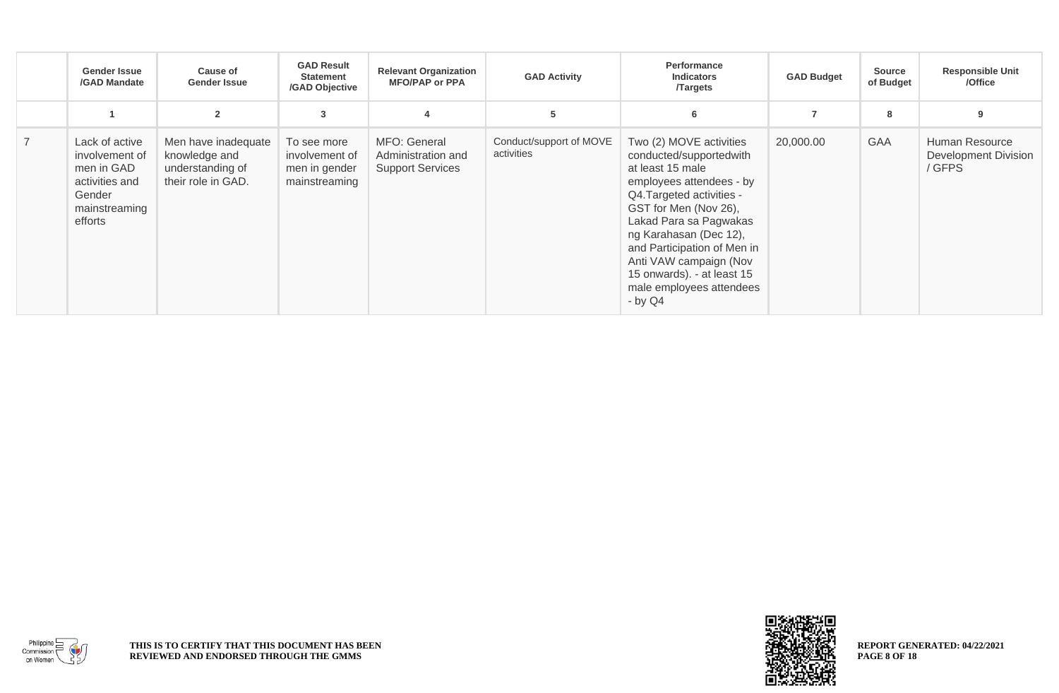|                | <b>Gender Issue</b><br>/GAD Mandate                                                                    | <b>Cause of</b><br><b>Gender Issue</b>                                         | <b>GAD Result</b><br><b>Statement</b><br>/GAD Objective         | <b>Relevant Organization</b><br><b>MFO/PAP or PPA</b>         | <b>GAD Activity</b>                   | Performance<br><b>Indicators</b><br><b>Targets</b>                                                                                                                                                                                                                                                                                          | <b>GAD Budget</b> | <b>Source</b><br>of Budget | <b>Responsible Unit</b><br>/Office                      |
|----------------|--------------------------------------------------------------------------------------------------------|--------------------------------------------------------------------------------|-----------------------------------------------------------------|---------------------------------------------------------------|---------------------------------------|---------------------------------------------------------------------------------------------------------------------------------------------------------------------------------------------------------------------------------------------------------------------------------------------------------------------------------------------|-------------------|----------------------------|---------------------------------------------------------|
|                |                                                                                                        | $\overline{2}$                                                                 | 3                                                               |                                                               | 5                                     | 6                                                                                                                                                                                                                                                                                                                                           |                   | 8                          | 9                                                       |
| $\overline{7}$ | Lack of active<br>involvement of<br>men in GAD<br>activities and<br>Gender<br>mainstreaming<br>efforts | Men have inadequate<br>knowledge and<br>understanding of<br>their role in GAD. | To see more<br>involvement of<br>men in gender<br>mainstreaming | MFO: General<br>Administration and<br><b>Support Services</b> | Conduct/support of MOVE<br>activities | Two (2) MOVE activities<br>conducted/supportedwith<br>at least 15 male<br>employees attendees - by<br>Q4.Targeted activities -<br>GST for Men (Nov 26),<br>Lakad Para sa Pagwakas<br>ng Karahasan (Dec 12),<br>and Participation of Men in<br>Anti VAW campaign (Nov<br>15 onwards). - at least 15<br>male employees attendees<br>$-$ by Q4 | 20,000.00         | <b>GAA</b>                 | Human Resource<br><b>Development Division</b><br>/ GFPS |



**REPORT GENERATED: 04/22/2021 PAGE 8 OF 18**

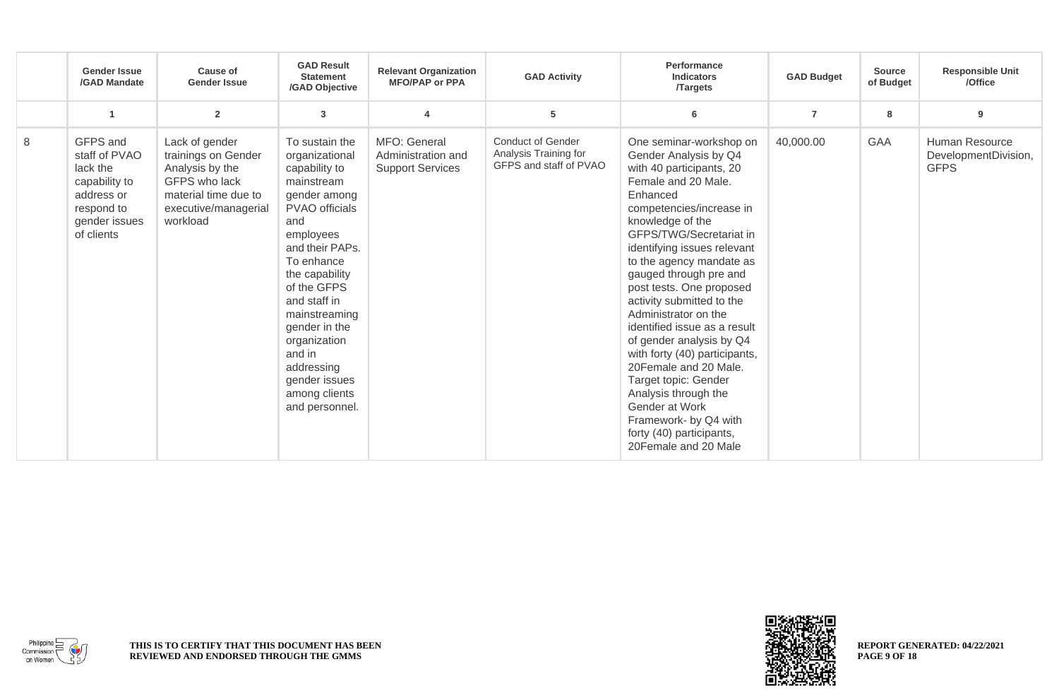|   | <b>Gender Issue</b><br>/GAD Mandate                                                                               | <b>Cause of</b><br><b>Gender Issue</b>                                                                                                | <b>GAD Result</b><br><b>Statement</b><br>/GAD Objective                                                                                                                                                                                                                                                                               | <b>Relevant Organization</b><br><b>MFO/PAP or PPA</b>         | <b>GAD Activity</b>                                                         | Performance<br><b>Indicators</b><br><b>Targets</b>                                                                                                                                                                                                                                                                                                                                                                                                                                                                                                                                                                                    | <b>GAD Budget</b> | <b>Source</b><br>of Budget | <b>Responsible Unit</b><br>/Office                    |
|---|-------------------------------------------------------------------------------------------------------------------|---------------------------------------------------------------------------------------------------------------------------------------|---------------------------------------------------------------------------------------------------------------------------------------------------------------------------------------------------------------------------------------------------------------------------------------------------------------------------------------|---------------------------------------------------------------|-----------------------------------------------------------------------------|---------------------------------------------------------------------------------------------------------------------------------------------------------------------------------------------------------------------------------------------------------------------------------------------------------------------------------------------------------------------------------------------------------------------------------------------------------------------------------------------------------------------------------------------------------------------------------------------------------------------------------------|-------------------|----------------------------|-------------------------------------------------------|
|   | -1                                                                                                                | $\overline{\mathbf{2}}$                                                                                                               | 3                                                                                                                                                                                                                                                                                                                                     |                                                               | 5                                                                           | 6                                                                                                                                                                                                                                                                                                                                                                                                                                                                                                                                                                                                                                     | $\overline{7}$    | 8                          | 9                                                     |
| 8 | GFPS and<br>staff of PVAO<br>lack the<br>capability to<br>address or<br>respond to<br>gender issues<br>of clients | Lack of gender<br>trainings on Gender<br>Analysis by the<br>GFPS who lack<br>material time due to<br>executive/managerial<br>workload | To sustain the<br>organizational<br>capability to<br>mainstream<br>gender among<br>PVAO officials<br>and<br>employees<br>and their PAPs.<br>To enhance<br>the capability<br>of the GFPS<br>and staff in<br>mainstreaming<br>gender in the<br>organization<br>and in<br>addressing<br>gender issues<br>among clients<br>and personnel. | MFO: General<br>Administration and<br><b>Support Services</b> | <b>Conduct of Gender</b><br>Analysis Training for<br>GFPS and staff of PVAO | One seminar-workshop on<br>Gender Analysis by Q4<br>with 40 participants, 20<br>Female and 20 Male.<br>Enhanced<br>competencies/increase in<br>knowledge of the<br>GFPS/TWG/Secretariat in<br>identifying issues relevant<br>to the agency mandate as<br>gauged through pre and<br>post tests. One proposed<br>activity submitted to the<br>Administrator on the<br>identified issue as a result<br>of gender analysis by Q4<br>with forty (40) participants,<br>20Female and 20 Male.<br>Target topic: Gender<br>Analysis through the<br>Gender at Work<br>Framework- by Q4 with<br>forty (40) participants,<br>20Female and 20 Male | 40,000.00         | <b>GAA</b>                 | Human Resource<br>DevelopmentDivision,<br><b>GFPS</b> |



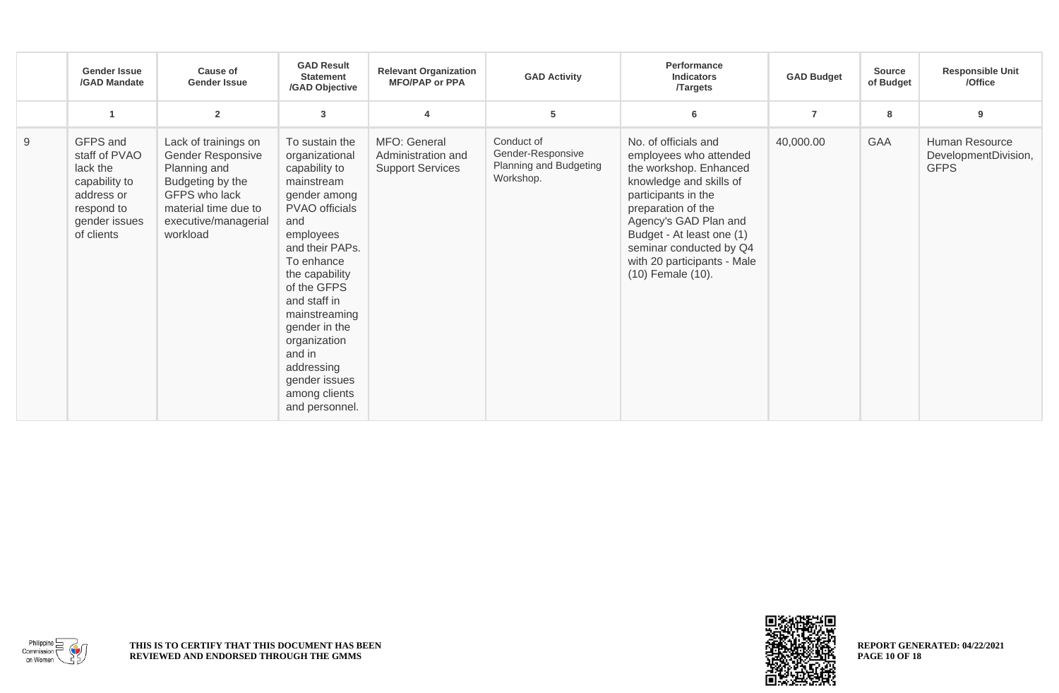|   | <b>Gender Issue</b><br>/GAD Mandate                                                                               | <b>Cause of</b><br><b>Gender Issue</b>                                                                                                                     | <b>GAD Result</b><br><b>Statement</b><br>/GAD Objective                                                                                                                                                                                                                                                                               | <b>Relevant Organization</b><br><b>MFO/PAP or PPA</b>         | <b>GAD Activity</b>                                                    | Performance<br><b>Indicators</b><br><b>Targets</b>                                                                                                                                                                                                                                    | <b>GAD Budget</b> | <b>Source</b><br>of Budget | <b>Responsible Unit</b><br>/Office                    |
|---|-------------------------------------------------------------------------------------------------------------------|------------------------------------------------------------------------------------------------------------------------------------------------------------|---------------------------------------------------------------------------------------------------------------------------------------------------------------------------------------------------------------------------------------------------------------------------------------------------------------------------------------|---------------------------------------------------------------|------------------------------------------------------------------------|---------------------------------------------------------------------------------------------------------------------------------------------------------------------------------------------------------------------------------------------------------------------------------------|-------------------|----------------------------|-------------------------------------------------------|
|   | -4                                                                                                                | $\overline{2}$                                                                                                                                             | 3                                                                                                                                                                                                                                                                                                                                     | $\overline{4}$                                                | 5                                                                      | 6                                                                                                                                                                                                                                                                                     | $\overline{7}$    | 8                          | 9                                                     |
| 9 | GFPS and<br>staff of PVAO<br>lack the<br>capability to<br>address or<br>respond to<br>gender issues<br>of clients | Lack of trainings on<br>Gender Responsive<br>Planning and<br>Budgeting by the<br>GFPS who lack<br>material time due to<br>executive/managerial<br>workload | To sustain the<br>organizational<br>capability to<br>mainstream<br>gender among<br>PVAO officials<br>and<br>employees<br>and their PAPs.<br>To enhance<br>the capability<br>of the GFPS<br>and staff in<br>mainstreaming<br>gender in the<br>organization<br>and in<br>addressing<br>gender issues<br>among clients<br>and personnel. | MFO: General<br>Administration and<br><b>Support Services</b> | Conduct of<br>Gender-Responsive<br>Planning and Budgeting<br>Workshop. | No. of officials and<br>employees who attended<br>the workshop. Enhanced<br>knowledge and skills of<br>participants in the<br>preparation of the<br>Agency's GAD Plan and<br>Budget - At least one (1)<br>seminar conducted by Q4<br>with 20 participants - Male<br>(10) Female (10). | 40,000.00         | <b>GAA</b>                 | Human Resource<br>DevelopmentDivision,<br><b>GFPS</b> |



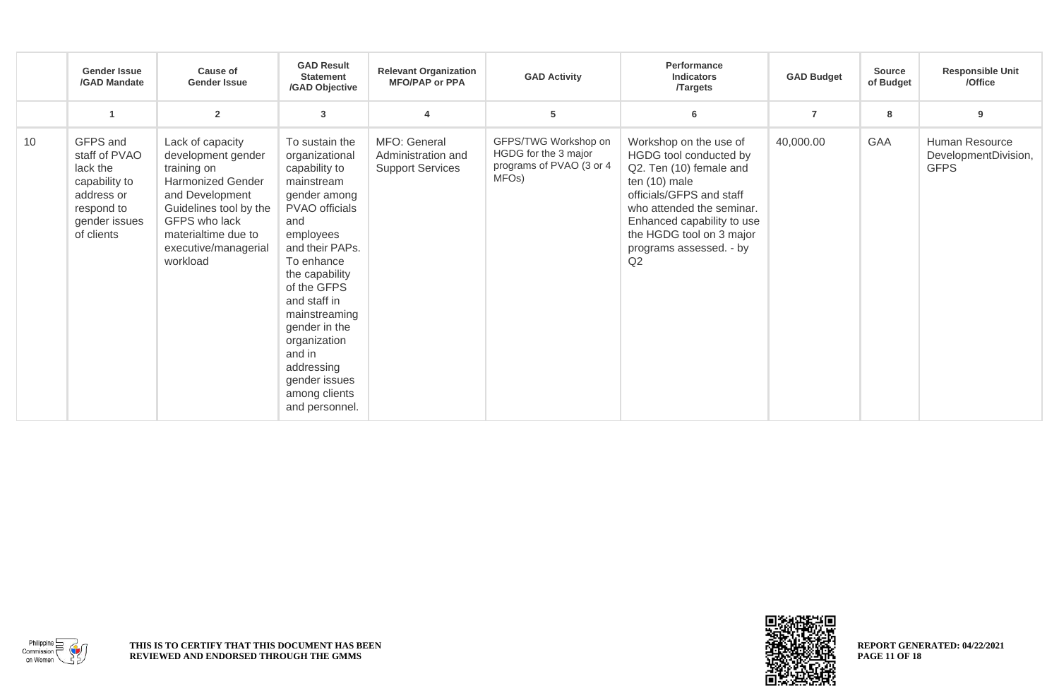|    | <b>Gender Issue</b><br>/GAD Mandate                                                                               | <b>Cause of</b><br><b>Gender Issue</b>                                                                                                                                                                     | <b>GAD Result</b><br><b>Statement</b><br>/GAD Objective                                                                                                                                                                                                                                                                               | <b>Relevant Organization</b><br><b>MFO/PAP or PPA</b>         | <b>GAD Activity</b>                                                                            | <b>Performance</b><br><b>Indicators</b><br><b>Targets</b>                                                                                                                                                                                        | <b>GAD Budget</b> | <b>Source</b><br>of Budget | <b>Responsible Unit</b><br>/Office                    |
|----|-------------------------------------------------------------------------------------------------------------------|------------------------------------------------------------------------------------------------------------------------------------------------------------------------------------------------------------|---------------------------------------------------------------------------------------------------------------------------------------------------------------------------------------------------------------------------------------------------------------------------------------------------------------------------------------|---------------------------------------------------------------|------------------------------------------------------------------------------------------------|--------------------------------------------------------------------------------------------------------------------------------------------------------------------------------------------------------------------------------------------------|-------------------|----------------------------|-------------------------------------------------------|
|    | $\overline{1}$                                                                                                    | $\overline{2}$                                                                                                                                                                                             | 3                                                                                                                                                                                                                                                                                                                                     | $\overline{4}$                                                | 5                                                                                              | 6                                                                                                                                                                                                                                                | $\overline{7}$    | 8                          | 9                                                     |
| 10 | GFPS and<br>staff of PVAO<br>lack the<br>capability to<br>address or<br>respond to<br>gender issues<br>of clients | Lack of capacity<br>development gender<br>training on<br><b>Harmonized Gender</b><br>and Development<br>Guidelines tool by the<br>GFPS who lack<br>materialtime due to<br>executive/managerial<br>workload | To sustain the<br>organizational<br>capability to<br>mainstream<br>gender among<br>PVAO officials<br>and<br>employees<br>and their PAPs.<br>To enhance<br>the capability<br>of the GFPS<br>and staff in<br>mainstreaming<br>gender in the<br>organization<br>and in<br>addressing<br>gender issues<br>among clients<br>and personnel. | MFO: General<br>Administration and<br><b>Support Services</b> | GFPS/TWG Workshop on<br>HGDG for the 3 major<br>programs of PVAO (3 or 4<br>MFO <sub>s</sub> ) | Workshop on the use of<br>HGDG tool conducted by<br>Q2. Ten (10) female and<br>ten (10) male<br>officials/GFPS and staff<br>who attended the seminar.<br>Enhanced capability to use<br>the HGDG tool on 3 major<br>programs assessed. - by<br>Q2 | 40,000.00         | GAA                        | Human Resource<br>DevelopmentDivision,<br><b>GFPS</b> |



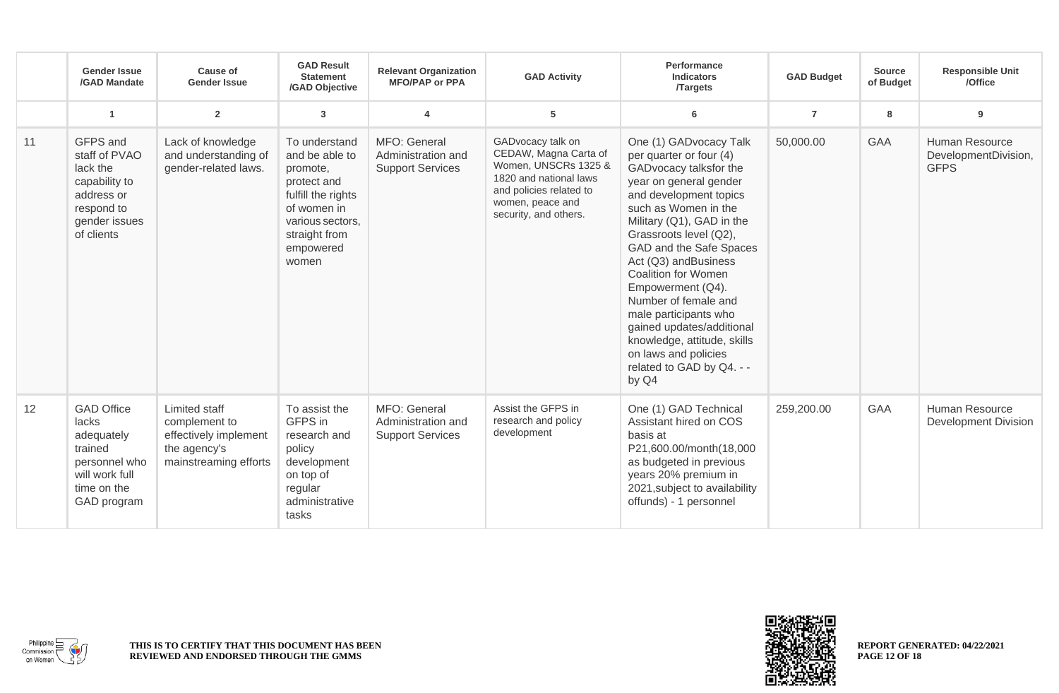|    | <b>Gender Issue</b><br>/GAD Mandate                                                                                  | <b>Cause of</b><br><b>Gender Issue</b>                                                           | <b>GAD Result</b><br><b>Statement</b><br>/GAD Objective                                                                                                    | <b>Relevant Organization</b><br><b>MFO/PAP or PPA</b>         | <b>GAD Activity</b>                                                                                                                                                  | Performance<br><b>Indicators</b><br><b>/Targets</b>                                                                                                                                                                                                                                                                                                                                                                                                                                             | <b>GAD Budget</b> | <b>Source</b><br>of Budget | <b>Responsible Unit</b><br>/Office                    |
|----|----------------------------------------------------------------------------------------------------------------------|--------------------------------------------------------------------------------------------------|------------------------------------------------------------------------------------------------------------------------------------------------------------|---------------------------------------------------------------|----------------------------------------------------------------------------------------------------------------------------------------------------------------------|-------------------------------------------------------------------------------------------------------------------------------------------------------------------------------------------------------------------------------------------------------------------------------------------------------------------------------------------------------------------------------------------------------------------------------------------------------------------------------------------------|-------------------|----------------------------|-------------------------------------------------------|
|    | $\blacktriangleleft$                                                                                                 | $\overline{2}$                                                                                   | $\mathbf{3}$                                                                                                                                               | $\overline{\mathbf{4}}$                                       | 5                                                                                                                                                                    | 6                                                                                                                                                                                                                                                                                                                                                                                                                                                                                               | $\overline{7}$    | 8                          | 9                                                     |
| 11 | GFPS and<br>staff of PVAO<br>lack the<br>capability to<br>address or<br>respond to<br>gender issues<br>of clients    | Lack of knowledge<br>and understanding of<br>gender-related laws.                                | To understand<br>and be able to<br>promote,<br>protect and<br>fulfill the rights<br>of women in<br>various sectors,<br>straight from<br>empowered<br>women | MFO: General<br>Administration and<br><b>Support Services</b> | GADvocacy talk on<br>CEDAW, Magna Carta of<br>Women, UNSCRs 1325 &<br>1820 and national laws<br>and policies related to<br>women, peace and<br>security, and others. | One (1) GADvocacy Talk<br>per quarter or four (4)<br>GADvocacy talksfor the<br>year on general gender<br>and development topics<br>such as Women in the<br>Military (Q1), GAD in the<br>Grassroots level (Q2),<br>GAD and the Safe Spaces<br>Act (Q3) andBusiness<br><b>Coalition for Women</b><br>Empowerment (Q4).<br>Number of female and<br>male participants who<br>gained updates/additional<br>knowledge, attitude, skills<br>on laws and policies<br>related to GAD by Q4. - -<br>by Q4 | 50,000.00         | <b>GAA</b>                 | Human Resource<br>DevelopmentDivision,<br><b>GFPS</b> |
| 12 | <b>GAD Office</b><br>lacks<br>adequately<br>trained<br>personnel who<br>will work full<br>time on the<br>GAD program | Limited staff<br>complement to<br>effectively implement<br>the agency's<br>mainstreaming efforts | To assist the<br>GFPS in<br>research and<br>policy<br>development<br>on top of<br>regular<br>administrative<br>tasks                                       | MFO: General<br>Administration and<br><b>Support Services</b> | Assist the GFPS in<br>research and policy<br>development                                                                                                             | One (1) GAD Technical<br>Assistant hired on COS<br>basis at<br>P21,600.00/month(18,000<br>as budgeted in previous<br>years 20% premium in<br>2021, subject to availability<br>offunds) - 1 personnel                                                                                                                                                                                                                                                                                            | 259,200.00        | <b>GAA</b>                 | Human Resource<br><b>Development Division</b>         |



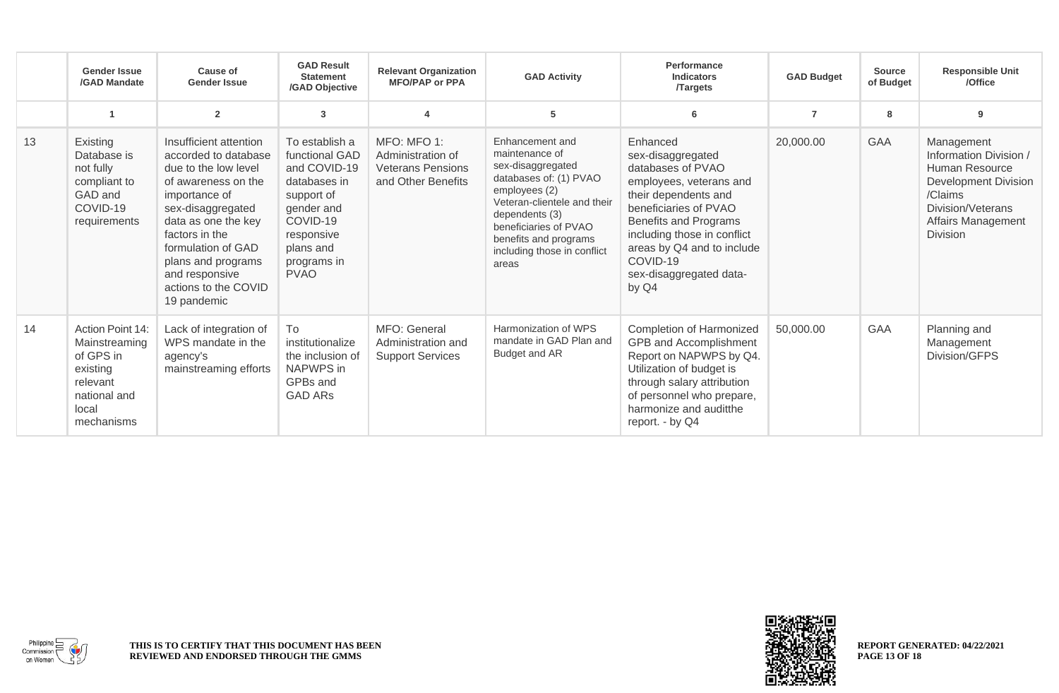|    | <b>Gender Issue</b><br>/GAD Mandate                                                                           | Cause of<br><b>Gender Issue</b>                                                                                                                                                                                                                                                   | <b>GAD Result</b><br><b>Statement</b><br>/GAD Objective                                                                                                           | <b>Relevant Organization</b><br><b>MFO/PAP or PPA</b>                              | <b>GAD Activity</b>                                                                                                                                                                                                                          | Performance<br><b>Indicators</b><br><b>Targets</b>                                                                                                                                                                                                                   | <b>GAD Budget</b> | <b>Source</b><br>of Budget | <b>Responsible Unit</b><br>/Office                                                                                                                             |
|----|---------------------------------------------------------------------------------------------------------------|-----------------------------------------------------------------------------------------------------------------------------------------------------------------------------------------------------------------------------------------------------------------------------------|-------------------------------------------------------------------------------------------------------------------------------------------------------------------|------------------------------------------------------------------------------------|----------------------------------------------------------------------------------------------------------------------------------------------------------------------------------------------------------------------------------------------|----------------------------------------------------------------------------------------------------------------------------------------------------------------------------------------------------------------------------------------------------------------------|-------------------|----------------------------|----------------------------------------------------------------------------------------------------------------------------------------------------------------|
|    |                                                                                                               | $\overline{2}$                                                                                                                                                                                                                                                                    | 3                                                                                                                                                                 |                                                                                    | 5                                                                                                                                                                                                                                            | 6                                                                                                                                                                                                                                                                    | $\overline{7}$    | 8                          | 9                                                                                                                                                              |
| 13 | Existing<br>Database is<br>not fully<br>compliant to<br>GAD and<br>COVID-19<br>requirements                   | Insufficient attention<br>accorded to database<br>due to the low level<br>of awareness on the<br>importance of<br>sex-disaggregated<br>data as one the key<br>factors in the<br>formulation of GAD<br>plans and programs<br>and responsive<br>actions to the COVID<br>19 pandemic | To establish a<br>functional GAD<br>and COVID-19<br>databases in<br>support of<br>gender and<br>COVID-19<br>responsive<br>plans and<br>programs in<br><b>PVAO</b> | MFO: MFO 1:<br>Administration of<br><b>Veterans Pensions</b><br>and Other Benefits | Enhancement and<br>maintenance of<br>sex-disaggregated<br>databases of: (1) PVAO<br>employees (2)<br>Veteran-clientele and their<br>dependents (3)<br>beneficiaries of PVAO<br>benefits and programs<br>including those in conflict<br>areas | Enhanced<br>sex-disaggregated<br>databases of PVAO<br>employees, veterans and<br>their dependents and<br>beneficiaries of PVAO<br>Benefits and Programs<br>including those in conflict<br>areas by Q4 and to include<br>COVID-19<br>sex-disaggregated data-<br>by Q4 | 20,000.00         | <b>GAA</b>                 | Management<br>Information Division /<br><b>Human Resource</b><br><b>Development Division</b><br>/Claims<br>Division/Veterans<br>Affairs Management<br>Division |
| 14 | Action Point 14:<br>Mainstreaming<br>of GPS in<br>existing<br>relevant<br>national and<br>local<br>mechanisms | Lack of integration of<br>WPS mandate in the<br>agency's<br>mainstreaming efforts                                                                                                                                                                                                 | To<br>institutionalize<br>the inclusion of<br>NAPWPS in<br>GPBs and<br><b>GAD ARS</b>                                                                             | MFO: General<br>Administration and<br><b>Support Services</b>                      | Harmonization of WPS<br>mandate in GAD Plan and<br>Budget and AR                                                                                                                                                                             | Completion of Harmonized<br>GPB and Accomplishment<br>Report on NAPWPS by Q4.<br>Utilization of budget is<br>through salary attribution<br>of personnel who prepare,<br>harmonize and auditthe<br>report. - by Q4                                                    | 50,000.00         | GAA                        | Planning and<br>Management<br>Division/GFPS                                                                                                                    |



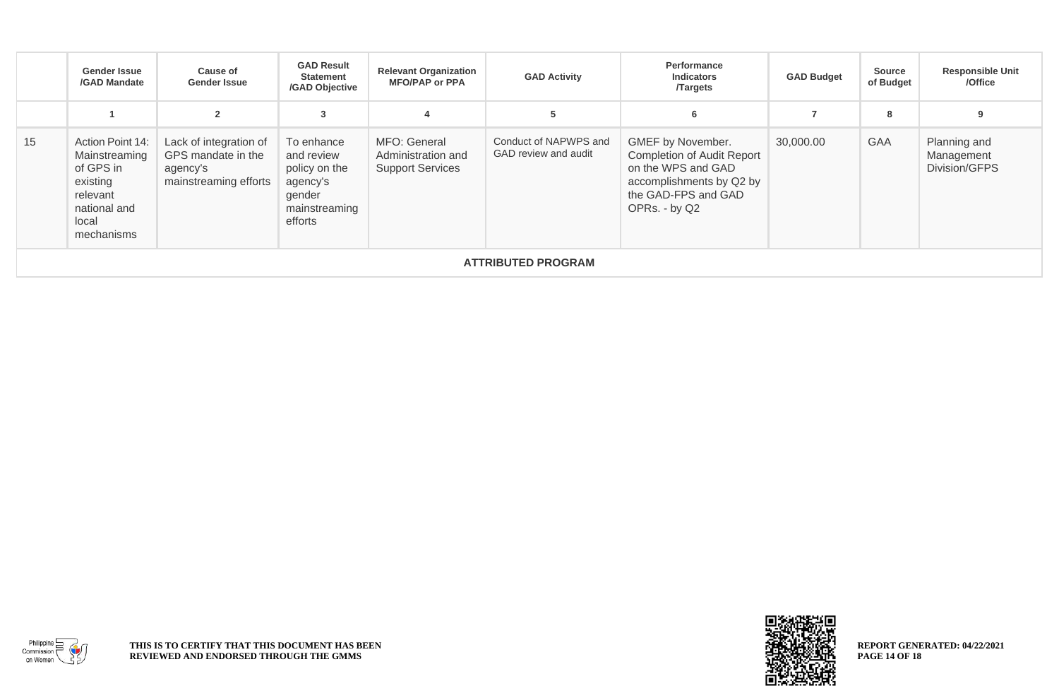|    | Gender Issue<br>/GAD Mandate                                                                                  | Cause of<br><b>Gender Issue</b>                                                   | <b>GAD Result</b><br><b>Statement</b><br>/GAD Objective                                     | <b>Relevant Organization</b><br><b>MFO/PAP or PPA</b>         | <b>GAD Activity</b>                           | Performance<br><b>Indicators</b><br><b>Targets</b>                                                                                        | <b>GAD Budget</b> | <b>Source</b><br>of Budget | <b>Responsible Unit</b><br>/Office          |
|----|---------------------------------------------------------------------------------------------------------------|-----------------------------------------------------------------------------------|---------------------------------------------------------------------------------------------|---------------------------------------------------------------|-----------------------------------------------|-------------------------------------------------------------------------------------------------------------------------------------------|-------------------|----------------------------|---------------------------------------------|
|    |                                                                                                               | $\overline{2}$                                                                    | 3                                                                                           |                                                               |                                               | 6                                                                                                                                         |                   | 8                          | 9                                           |
| 15 | Action Point 14:<br>Mainstreaming<br>of GPS in<br>existing<br>relevant<br>national and<br>local<br>mechanisms | Lack of integration of<br>GPS mandate in the<br>agency's<br>mainstreaming efforts | To enhance<br>and review<br>policy on the<br>agency's<br>gender<br>mainstreaming<br>efforts | MFO: General<br>Administration and<br><b>Support Services</b> | Conduct of NAPWPS and<br>GAD review and audit | GMEF by November.<br>Completion of Audit Report<br>on the WPS and GAD<br>accomplishments by Q2 by<br>the GAD-FPS and GAD<br>OPRs. - by Q2 | 30,000.00         | <b>GAA</b>                 | Planning and<br>Management<br>Division/GFPS |
|    | <b>ATTRIBUTED PROGRAM</b>                                                                                     |                                                                                   |                                                                                             |                                                               |                                               |                                                                                                                                           |                   |                            |                                             |



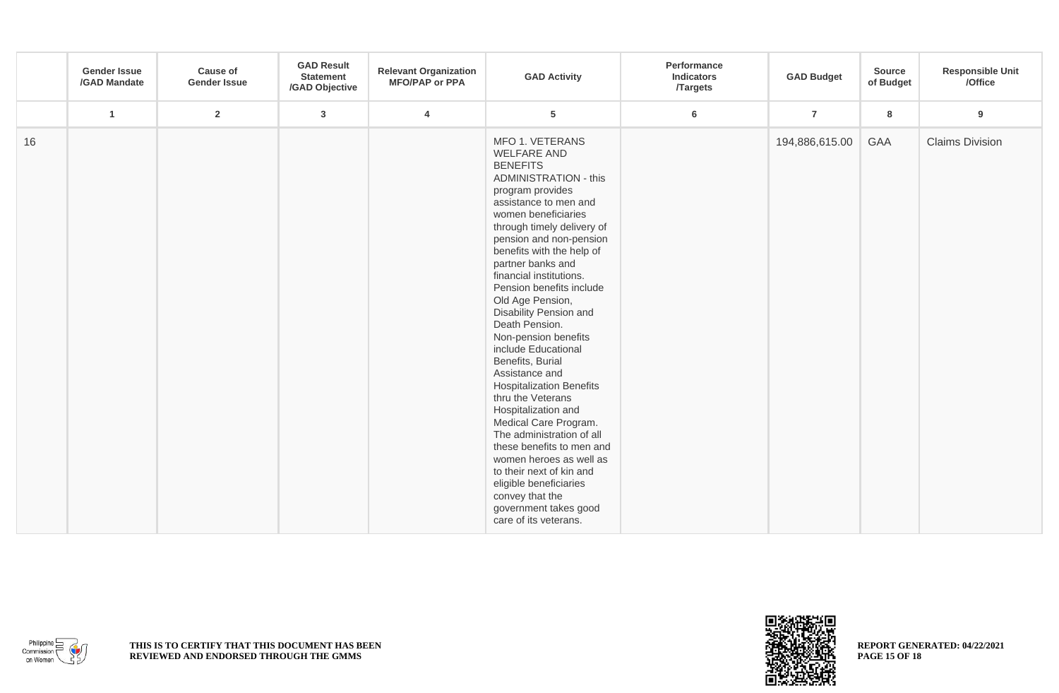|    | <b>Gender Issue</b><br>/GAD Mandate | <b>Cause of</b><br><b>Gender Issue</b> | <b>GAD Result</b><br><b>Statement</b><br>/GAD Objective | <b>Relevant Organization</b><br><b>MFO/PAP or PPA</b> | <b>GAD Activity</b>                                                                                                                                                                                                                                                                                                                                                                                                                                                                                                                                                                                                                                                                                                                                                                                         | Performance<br><b>Indicators</b><br><b>Targets</b> | <b>GAD Budget</b> | Source<br>of Budget | <b>Responsible Unit</b><br>/Office |
|----|-------------------------------------|----------------------------------------|---------------------------------------------------------|-------------------------------------------------------|-------------------------------------------------------------------------------------------------------------------------------------------------------------------------------------------------------------------------------------------------------------------------------------------------------------------------------------------------------------------------------------------------------------------------------------------------------------------------------------------------------------------------------------------------------------------------------------------------------------------------------------------------------------------------------------------------------------------------------------------------------------------------------------------------------------|----------------------------------------------------|-------------------|---------------------|------------------------------------|
|    | $\mathbf{1}$                        | $\overline{2}$                         | $\mathbf{3}$                                            | $\overline{4}$                                        | $5\phantom{.0}$                                                                                                                                                                                                                                                                                                                                                                                                                                                                                                                                                                                                                                                                                                                                                                                             | $6\phantom{a}$                                     | $\overline{7}$    | 8                   | $\boldsymbol{9}$                   |
| 16 |                                     |                                        |                                                         |                                                       | MFO 1. VETERANS<br><b>WELFARE AND</b><br><b>BENEFITS</b><br><b>ADMINISTRATION - this</b><br>program provides<br>assistance to men and<br>women beneficiaries<br>through timely delivery of<br>pension and non-pension<br>benefits with the help of<br>partner banks and<br>financial institutions.<br>Pension benefits include<br>Old Age Pension,<br>Disability Pension and<br>Death Pension.<br>Non-pension benefits<br>include Educational<br>Benefits, Burial<br>Assistance and<br><b>Hospitalization Benefits</b><br>thru the Veterans<br>Hospitalization and<br>Medical Care Program.<br>The administration of all<br>these benefits to men and<br>women heroes as well as<br>to their next of kin and<br>eligible beneficiaries<br>convey that the<br>government takes good<br>care of its veterans. |                                                    | 194,886,615.00    | GAA                 | <b>Claims Division</b>             |



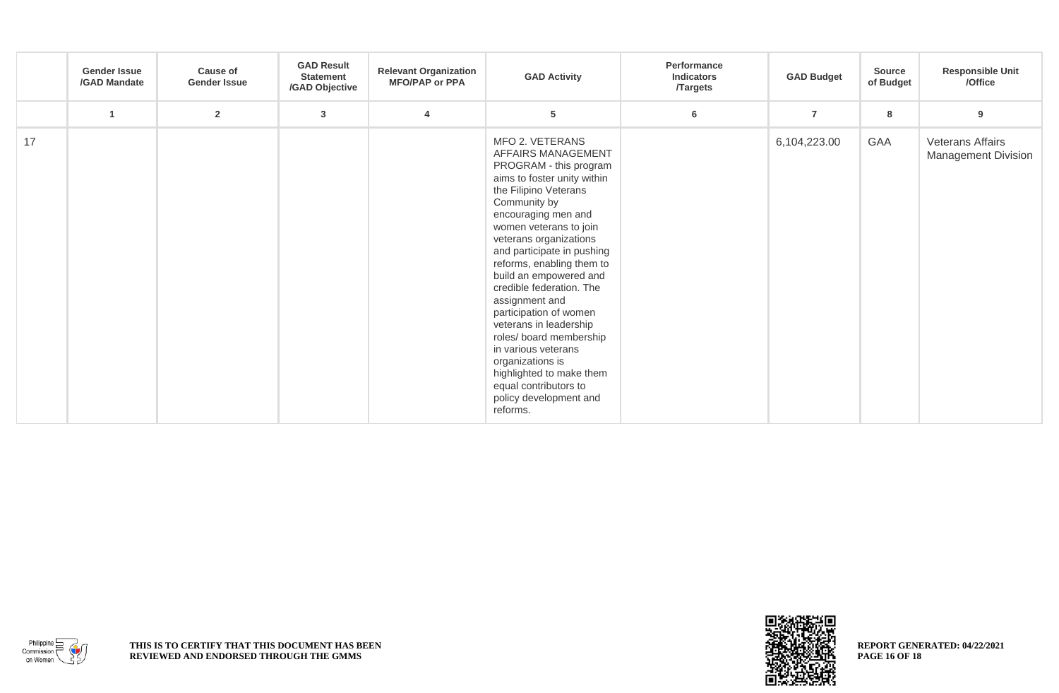|    | <b>Gender Issue</b><br>/GAD Mandate | <b>Cause of</b><br><b>Gender Issue</b> | <b>GAD Result</b><br><b>Statement</b><br>/GAD Objective | <b>Relevant Organization</b><br><b>MFO/PAP or PPA</b> | <b>GAD Activity</b>                                                                                                                                                                                                                                                                                                                                                                                                                                                                                                                                                        | Performance<br><b>Indicators</b><br><b>Targets</b> | <b>GAD Budget</b> | <b>Source</b><br>of Budget | <b>Responsible Unit</b><br>/Office                    |
|----|-------------------------------------|----------------------------------------|---------------------------------------------------------|-------------------------------------------------------|----------------------------------------------------------------------------------------------------------------------------------------------------------------------------------------------------------------------------------------------------------------------------------------------------------------------------------------------------------------------------------------------------------------------------------------------------------------------------------------------------------------------------------------------------------------------------|----------------------------------------------------|-------------------|----------------------------|-------------------------------------------------------|
|    | $\overline{1}$                      | $\overline{2}$                         | $\mathbf{3}$                                            | $\overline{4}$                                        | 5                                                                                                                                                                                                                                                                                                                                                                                                                                                                                                                                                                          | 6                                                  | $\overline{7}$    | 8                          | 9                                                     |
| 17 |                                     |                                        |                                                         |                                                       | MFO 2. VETERANS<br>AFFAIRS MANAGEMENT<br>PROGRAM - this program<br>aims to foster unity within<br>the Filipino Veterans<br>Community by<br>encouraging men and<br>women veterans to join<br>veterans organizations<br>and participate in pushing<br>reforms, enabling them to<br>build an empowered and<br>credible federation. The<br>assignment and<br>participation of women<br>veterans in leadership<br>roles/ board membership<br>in various veterans<br>organizations is<br>highlighted to make them<br>equal contributors to<br>policy development and<br>reforms. |                                                    | 6,104,223.00      | GAA                        | <b>Veterans Affairs</b><br><b>Management Division</b> |



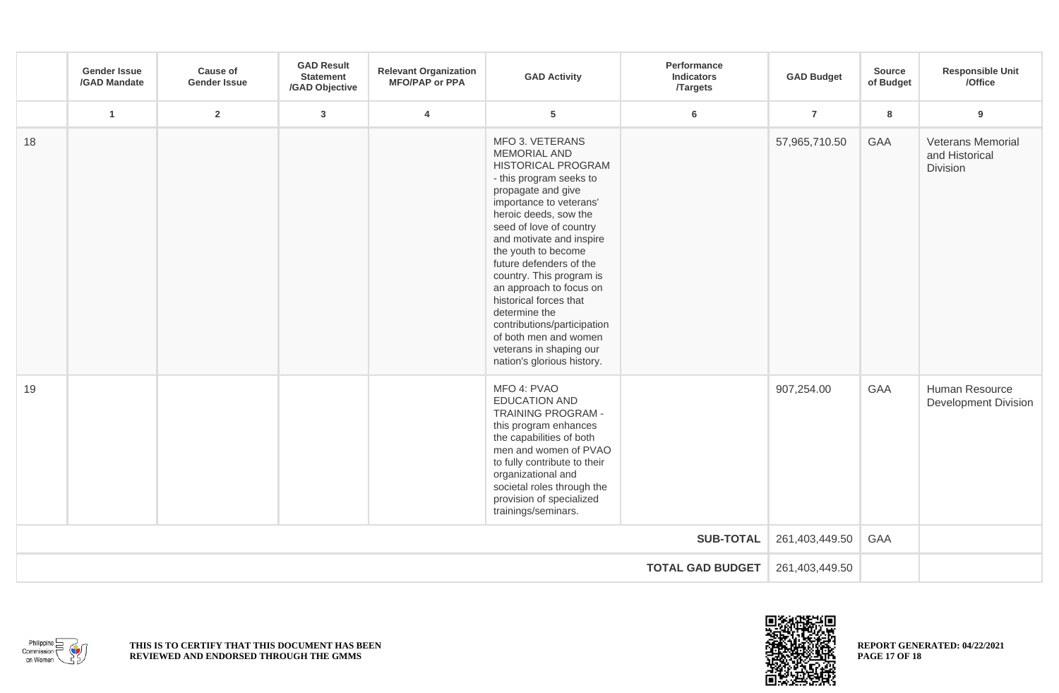|                         | <b>Gender Issue</b><br>/GAD Mandate | <b>Cause of</b><br><b>Gender Issue</b> | <b>GAD Result</b><br><b>Statement</b><br>/GAD Objective | <b>Relevant Organization</b><br><b>MFO/PAP or PPA</b> | <b>GAD Activity</b>                                                                                                                                                                                                                                                                                                                                                                                                                                                                           | Performance<br><b>Indicators</b><br><b>Targets</b> | <b>GAD Budget</b> | <b>Source</b><br>of Budget | <b>Responsible Unit</b><br>/Office                     |
|-------------------------|-------------------------------------|----------------------------------------|---------------------------------------------------------|-------------------------------------------------------|-----------------------------------------------------------------------------------------------------------------------------------------------------------------------------------------------------------------------------------------------------------------------------------------------------------------------------------------------------------------------------------------------------------------------------------------------------------------------------------------------|----------------------------------------------------|-------------------|----------------------------|--------------------------------------------------------|
|                         | $\overline{1}$                      | $\overline{2}$                         | $\mathbf{3}$                                            | $\overline{4}$                                        | 5                                                                                                                                                                                                                                                                                                                                                                                                                                                                                             | 6                                                  | $\overline{7}$    | 8                          | $\boldsymbol{9}$                                       |
| 18                      |                                     |                                        |                                                         |                                                       | MFO 3. VETERANS<br><b>MEMORIAL AND</b><br>HISTORICAL PROGRAM<br>- this program seeks to<br>propagate and give<br>importance to veterans'<br>heroic deeds, sow the<br>seed of love of country<br>and motivate and inspire<br>the youth to become<br>future defenders of the<br>country. This program is<br>an approach to focus on<br>historical forces that<br>determine the<br>contributions/participation<br>of both men and women<br>veterans in shaping our<br>nation's glorious history. |                                                    | 57,965,710.50     | GAA                        | <b>Veterans Memorial</b><br>and Historical<br>Division |
| 19                      |                                     |                                        |                                                         |                                                       | MFO 4: PVAO<br><b>EDUCATION AND</b><br>TRAINING PROGRAM -<br>this program enhances<br>the capabilities of both<br>men and women of PVAO<br>to fully contribute to their<br>organizational and<br>societal roles through the<br>provision of specialized<br>trainings/seminars.                                                                                                                                                                                                                |                                                    | 907,254.00        | GAA                        | Human Resource<br><b>Development Division</b>          |
| <b>SUB-TOTAL</b>        |                                     |                                        |                                                         |                                                       |                                                                                                                                                                                                                                                                                                                                                                                                                                                                                               |                                                    |                   | GAA                        |                                                        |
| <b>TOTAL GAD BUDGET</b> |                                     |                                        |                                                         |                                                       |                                                                                                                                                                                                                                                                                                                                                                                                                                                                                               |                                                    |                   |                            |                                                        |